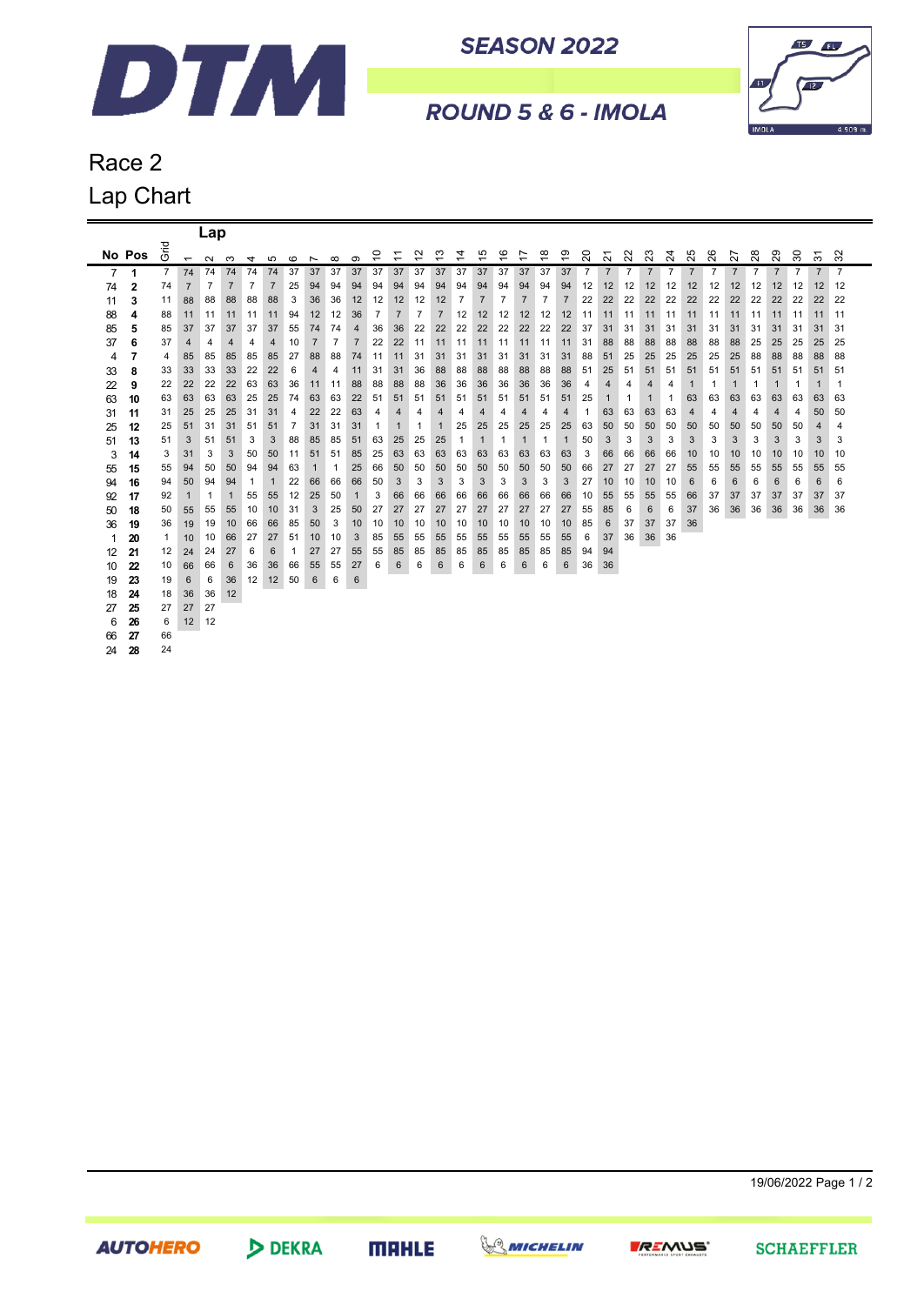

**SEASON 2022** 



ROUND 5 & 6 - IMOLA

## Race 2 Lap Chart

|    |        |                |                          | Lap          |                |              |                |                |                          |                |                |    |                |                |                |                |                |                         |                |                |                |                |                                    |                |                |                |                           |                |                |                |                |                |                                      |                |
|----|--------|----------------|--------------------------|--------------|----------------|--------------|----------------|----------------|--------------------------|----------------|----------------|----|----------------|----------------|----------------|----------------|----------------|-------------------------|----------------|----------------|----------------|----------------|------------------------------------|----------------|----------------|----------------|---------------------------|----------------|----------------|----------------|----------------|----------------|--------------------------------------|----------------|
|    | No Pos | Grid           | $\overline{\phantom{0}}$ | $\sim$       | ო              | 4            | မာ             | $\circ$        | $\overline{\phantom{0}}$ | $\infty$       | ၜ              | ₽  | $\overline{ }$ | ₽              | ౖ              | 4              | 45             | $\overset{\circ}{\tau}$ | 17             | ဆု             | ဒ္             | 20             | $\overline{\phantom{0}}$<br>$\sim$ | 22             | 23             | 24             | S<br>$\tilde{\mathbf{N}}$ | 26             | 27             | 28             | 29             | 30             | $\overline{\phantom{0}}$<br>$\infty$ | 32             |
| 7  | 1      | $\overline{7}$ | 74                       | 74           | 74             | 74           | 74             | 37             | 37                       | 37             | 37             | 37 | 37             | 37             | 37             | 37             | 37             | 37                      | 37             | 37             | 37             | $\overline{7}$ | $\overline{7}$                     | $\overline{7}$ | $\overline{7}$ | $\overline{7}$ | $\overline{7}$            | $\overline{7}$ | $\overline{7}$ | $\overline{7}$ | $\overline{7}$ | $\overline{7}$ | $\overline{7}$                       | $\overline{7}$ |
| 74 | 2      | 74             | $\overline{7}$           | 7            | $\overline{7}$ | 7            | $\overline{7}$ | 25             | 94                       | 94             | 94             | 94 | 94             | 94             | 94             | 94             | 94             | 94                      | 94             | 94             | 94             | 12             | 12                                 | 12             | 12             | 12             | 12                        | 12             | 12             | 12             | 12             | 12             | 12                                   | 12             |
| 11 | 3      | 11             | 88                       | 88           | 88             | 88           | 88             | 3              | 36                       | 36             | 12             | 12 | 12             | 12             | 12             | $\overline{7}$ | $\overline{7}$ | $\overline{7}$          | $\overline{7}$ | $\overline{7}$ | $\overline{7}$ | 22             | 22                                 | 22             | 22             | 22             | 22                        | 22             | 22             | 22             | 22             | 22             | 22                                   | 22             |
| 88 | 4      | 88             | 11                       | 11           | 11             | 11           | 11             | 94             | 12                       | 12             | 36             | 7  | $\overline{7}$ | $\overline{7}$ | $\overline{7}$ | 12             | 12             | 12                      | 12             | 12             | 12             | 11             | 11                                 | 11             | 11             | 11             | 11                        | 11             | 11             | 11             | 11             | 11             | 11                                   | -11            |
| 85 | 5      | 85             | 37                       | 37           | 37             | 37           | 37             | 55             | 74                       | 74             | 4              | 36 | 36             | 22             | 22             | 22             | 22             | 22                      | 22             | 22             | 22             | 37             | 31                                 | 31             | 31             | 31             | 31                        | 31             | 31             | 31             | 31             | 31             | 31                                   | 31             |
| 37 | 6      | 37             | 4                        | 4            | 4              | 4            | 4              | 10             | $\overline{7}$           | $\overline{7}$ | $\overline{7}$ | 22 | 22             | 11             | 11             | 11             | 11             | 11                      | 11             | 11             | 11             | 31             | 88                                 | 88             | 88             | 88             | 88                        | 88             | 88             | 25             | 25             | 25             | 25                                   | 25             |
| 4  | 7      | 4              | 85                       | 85           | 85             | 85           | 85             | 27             | 88                       | 88             | 74             | 11 | 11             | 31             | 31             | 31             | 31             | 31                      | 31             | 31             | 31             | 88             | 51                                 | 25             | 25             | 25             | 25                        | 25             | 25             | 88             | 88             | 88             | 88                                   | 88             |
| 33 | 8      | 33             | 33                       | 33           | 33             | 22           | 22             | 6              | 4                        | 4              | 11             | 31 | 31             | 36             | 88             | 88             | 88             | 88                      | 88             | 88             | 88             | 51             | 25                                 | 51             | 51             | 51             | 51                        | 51             | 51             | 51             | 51             | 51             | 51                                   | 51             |
| 22 | 9      | 22             | 22                       | 22           | 22             | 63           | 63             | 36             | 11                       | 11             | 88             | 88 | 88             | 88             | 36             | 36             | 36             | 36                      | 36             | 36             | 36             | 4              | 4                                  | 4              | 4              | 4              | $\mathbf 1$               | 1              | $\mathbf 1$    | 1              | $\mathbf 1$    | -1             | 1                                    | 1              |
| 63 | 10     | 63             | 63                       | 63           | 63             | 25           | 25             | 74             | 63                       | 63             | 22             | 51 | 51             | 51             | 51             | 51             | 51             | 51                      | 51             | 51             | 51             | 25             | 1                                  | 1              | $\mathbf{1}$   | 1              | 63                        | 63             | 63             | 63             | 63             | 63             | 63                                   | 63             |
| 31 | 11     | 31             | 25                       | 25           | 25             | 31           | 31             | 4              | 22                       | 22             | 63             | 4  | 4              | 4              | 4              | 4              | 4              | 4                       | 4              | 4              | 4              | 1              | 63                                 | 63             | 63             | 63             | 4                         | 4              | 4              | 4              | 4              | 4              | 50                                   | 50             |
| 25 | 12     | 25             | 51                       | 31           | 31             | 51           | 51             | $\overline{7}$ | 31                       | 31             | 31             | 1  | $\mathbf{1}$   | 1              | $\mathbf{1}$   | 25             | 25             | 25                      | 25             | 25             | 25             | 63             | 50                                 | 50             | 50             | 50             | 50                        | 50             | 50             | 50             | 50             | 50             | 4                                    | 4              |
| 51 | 13     | 51             | 3                        | 51           | 51             | 3            | 3              | 88             | 85                       | 85             | 51             | 63 | 25             | 25             | 25             | $\mathbf{1}$   | $\mathbf{1}$   | 1                       | $\mathbf{1}$   | 1              | $\mathbf{1}$   | 50             | 3                                  | 3              | 3              | 3              | 3                         | 3              | 3              | 3              | 3              | 3              | 3                                    | 3              |
| 3  | 14     | 3              | 31                       | 3            | 3              | 50           | 50             | 11             | 51                       | 51             | 85             | 25 | 63             | 63             | 63             | 63             | 63             | 63                      | 63             | 63             | 63             | 3              | 66                                 | 66             | 66             | 66             | 10                        | 10             | 10             | 10             | 10             | 10             | 10                                   | 10             |
| 55 | 15     | 55             | 94                       | 50           | 50             | 94           | 94             | 63             | 1                        | 1              | 25             | 66 | 50             | 50             | 50             | 50             | 50             | 50                      | 50             | 50             | 50             | 66             | 27                                 | 27             | 27             | 27             | 55                        | 55             | 55             | 55             | 55             | 55             | 55                                   | 55             |
| 94 | 16     | 94             | 50                       | 94           | 94             | $\mathbf{1}$ | $\mathbf{1}$   | 22             | 66                       | 66             | 66             | 50 | 3              | 3              | 3              | 3              | 3              | 3                       | 3              | 3              | 3              | 27             | 10                                 | 10             | 10             | 10             | 6                         | 6              | 6              | 6              | 6              | 6              | 6                                    | 6              |
| 92 | 17     | 92             | $\mathbf{1}$             | $\mathbf{1}$ | $\mathbf{1}$   | 55           | 55             | 12             | 25                       | 50             | $\mathbf{1}$   | 3  | 66             | 66             | 66             | 66             | 66             | 66                      | 66             | 66             | 66             | 10             | 55                                 | 55             | 55             | 55             | 66                        | 37             | 37             | 37             | 37             | 37             | 37                                   | 37             |
| 50 | 18     | 50             | 55                       | 55           | 55             | 10           | 10             | 31             | 3                        | 25             | 50             | 27 | 27             | 27             | 27             | 27             | 27             | 27                      | 27             | 27             | 27             | 55             | 85                                 | 6              | 6              | 6              | 37                        | 36             | 36             | 36             | 36             | 36             | 36                                   | 36             |
| 36 | 19     | 36             | 19                       | 19           | 10             | 66           | 66             | 85             | 50                       | 3              | 10             | 10 | 10             | 10             | 10             | 10             | 10             | 10                      | 10             | 10             | 10             | 85             | 6                                  | 37             | 37             | 37             | 36                        |                |                |                |                |                |                                      |                |
| 1  | 20     | 1              | 10                       | 10           | 66             | 27           | 27             | 51             | 10                       | 10             | 3              | 85 | 55             | 55             | 55             | 55             | 55             | 55                      | 55             | 55             | 55             | 6              | 37                                 | 36             | 36             | 36             |                           |                |                |                |                |                |                                      |                |
| 12 | 21     | 12             | 24                       | 24           | 27             | 6            | 6              | 1              | 27                       | 27             | 55             | 55 | 85             | 85             | 85             | 85             | 85             | 85                      | 85             | 85             | 85             | 94             | 94                                 |                |                |                |                           |                |                |                |                |                |                                      |                |
| 10 | 22     | 10             | 66                       | 66           | 6              | 36           | 36             | 66             | 55                       | 55             | 27             | 6  | 6              | 6              | 6              | 6              | 6              | 6                       | 6              | 6              | 6              | 36             | 36                                 |                |                |                |                           |                |                |                |                |                |                                      |                |
| 19 | 23     | 19             | 6                        | 6            | 36             | 12           | 12             | 50             | 6                        | 6              | 6              |    |                |                |                |                |                |                         |                |                |                |                |                                    |                |                |                |                           |                |                |                |                |                |                                      |                |
| 18 | 24     | 18             | 36                       | 36           | 12             |              |                |                |                          |                |                |    |                |                |                |                |                |                         |                |                |                |                |                                    |                |                |                |                           |                |                |                |                |                |                                      |                |
| 27 | 25     | 27             | 27                       | 27           |                |              |                |                |                          |                |                |    |                |                |                |                |                |                         |                |                |                |                |                                    |                |                |                |                           |                |                |                |                |                |                                      |                |
| 6  | 26     | 6              | 12                       | 12           |                |              |                |                |                          |                |                |    |                |                |                |                |                |                         |                |                |                |                |                                    |                |                |                |                           |                |                |                |                |                |                                      |                |
| 66 | 27     | 66             |                          |              |                |              |                |                |                          |                |                |    |                |                |                |                |                |                         |                |                |                |                |                                    |                |                |                |                           |                |                |                |                |                |                                      |                |
| 24 | 28     | 24             |                          |              |                |              |                |                |                          |                |                |    |                |                |                |                |                |                         |                |                |                |                |                                    |                |                |                |                           |                |                |                |                |                |                                      |                |